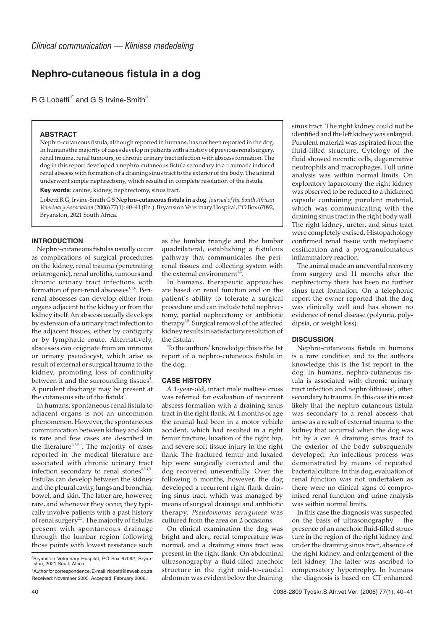# **Nephro-cutaneous fistula in a dog**

R G Lobetti<sup>a\*</sup> and G S Irvine-Smith<sup>a</sup>

## **ABSTRACT**

Nephro-cutaneous fistula, although reported in humans, has not been reported in the dog. In humans the majority of cases develop in patients with a history of previous renal surgery, renal trauma, renal tumours, or chronic urinary tract infection with abscess formation. The dog in this report developed a nephro-cutaneous fistula secondary to a traumatic induced renal abscess with formation of a draining sinus tract to the exterior of the body. The animal underwent simple nephrectomy, which resulted in complete resolution of the fistula.

**Key words**: canine, kidney, nephrectomy, sinus tract.

Lobetti R G, Irvine-Smith G S **Nephro-cutaneous fistula in a dog**. *Journal of the South African Veterinary Association* (2006) 77(1): 40–41 (En.). Bryanston Veterinary Hospital, PO Box 67092, Bryanston, 2021 South Africa.

## **INTRODUCTION**

Nephro-cutaneous fistulas usually occur as complications of surgical procedures on the kidney, renal trauma (penetrating or iatrogenic), renal uroliths, tumours and chronic urinary tract infections with formation of peri-renal abscesses<sup>1,3,6</sup>. Perirenal abscesses can develop either from organs adjacent to the kidney or from the kidney itself. An abscess usually develops by extension of a urinary tract infection to the adjacent tissues, either by contiguity or by lymphatic route. Alternatively, abscesses can originate from an urinoma or urinary pseudocyst, which arise as result of external or surgical trauma to the kidney, promoting loss of continuity between it and the surrounding tissues $4$ . A purulent discharge may be present at the cutaneous site of the fistula<sup>6</sup>.

In humans, spontaneous renal fistula to adjacent organs is not an uncommon phenomenon. However, the spontaneous communication between kidney and skin is rare and few cases are described in the literature<sup>2,3,4,5</sup>. The majority of cases reported in the medical literature are associated with chronic urinary tract infection secondary to renal stones<sup>2,3,4,5</sup>. Fistulas can develop between the kidney and the pleural cavity, lungs and bronchia, bowel, and skin. The latter are, however, rare, and whenever they occur, they typically involve patients with a past history of renal surgery<sup>2,3</sup>. The majority of fistulas present with spontaneous drainage through the lumbar region following those points with lowest resistance such

as the lumbar triangle and the lumbar quadrilateral, establishing a fistulous pathway that communicates the perirenal tissues and collecting system with the external environment $1$ ,

In humans, therapeutic approaches are based on renal function and on the patient's ability to tolerate a surgical procedure and can include total nephrectomy, partial nephrectomy or antibiotic therapy<sup>2,5</sup>. Surgical removal of the affected kidney results in satisfactory resolution of the fistula<sup>1</sup>.

To the authors' knowledge this is the 1st report of a nephro-cutaneous fistula in the dog.

#### **CASE HISTORY**

A 1-year-old, intact male maltese cross was referred for evaluation of recurrent abscess formation with a draining sinus tract in the right flank. At 4 months of age the animal had been in a motor vehicle accident, which had resulted in a right femur fracture, luxation of the right hip, and severe soft tissue injury in the right flank. The fractured femur and luxated hip were surgically corrected and the dog recovered uneventfully. Over the following 6 months, however, the dog developed a recurrent right flank draining sinus tract, which was managed by means of surgical drainage and antibiotic therapy. *Pseudomonas aeruginosa* was cultured from the area on 2 occasions.

On clinical examination the dog was bright and alert, rectal temperature was normal, and a draining sinus tract was present in the right flank. On abdominal ultrasonography a fluid-filled anechoic structure in the right mid-to-caudal abdomen was evident below the draining

sinus tract. The right kidney could not be identified and the left kidney was enlarged. Purulent material was aspirated from the fluid-filled structure. Cytology of the fluid showed necrotic cells, degenerative neutrophils and macrophages. Full urine analysis was within normal limits. On exploratory laparotomy the right kidney was observed to be reduced to a thickened capsule containing purulent material, which was communicating with the draining sinus tract in the right body wall. The right kidney, ureter, and sinus tract were completely excised. Histopathology confirmed renal tissue with metaplastic ossification and a pyogranulomatous inflammatory reaction.

The animal made an uneventful recovery from surgery and 11 months after the nephrectomy there has been no further sinus tract formation. On a telephonic report the owner reported that the dog was clinically well and has shown no evidence of renal disease (polyuria, polydipsia, or weight loss).

## **DISCUSSION**

Nephro-cutaneous fistula in humans is a rare condition and to the authors knowledge this is the 1st report in the dog. In humans, nephro-cutaneous fistula is associated with chronic urinary tract infection and nephrolithiasis<sup>1</sup>, often secondary to trauma. In this case it is most likely that the nephro-cutaneous fistula was secondary to a renal abscess that arose as a result of external trauma to the kidney that occurred when the dog was hit by a car. A draining sinus tract to the exterior of the body subsequently developed. An infectious process was demonstrated by means of repeated bacterial culture. In this dog, evaluation of renal function was not undertaken as there were no clinical signs of compromised renal function and urine analysis was within normal limits.

In this case the diagnosis was suspected on the basis of ultrasonography – the presence of an anechoic fluid-filled structure in the region of the right kidney and under the draining sinus tract, absence of the right kidney, and enlargement of the left kidney. The latter was ascribed to compensatory hypertrophy. In humans the diagnosis is based on CT enhanced

a Bryanston Veterinary Hospital, PO Box 67092, Bryanston, 2021 South Africa.

<sup>\*</sup>Author for correspondence.E-mail:rlobetti@mweb.co.za Received: November 2005. Accepted: February 2006.